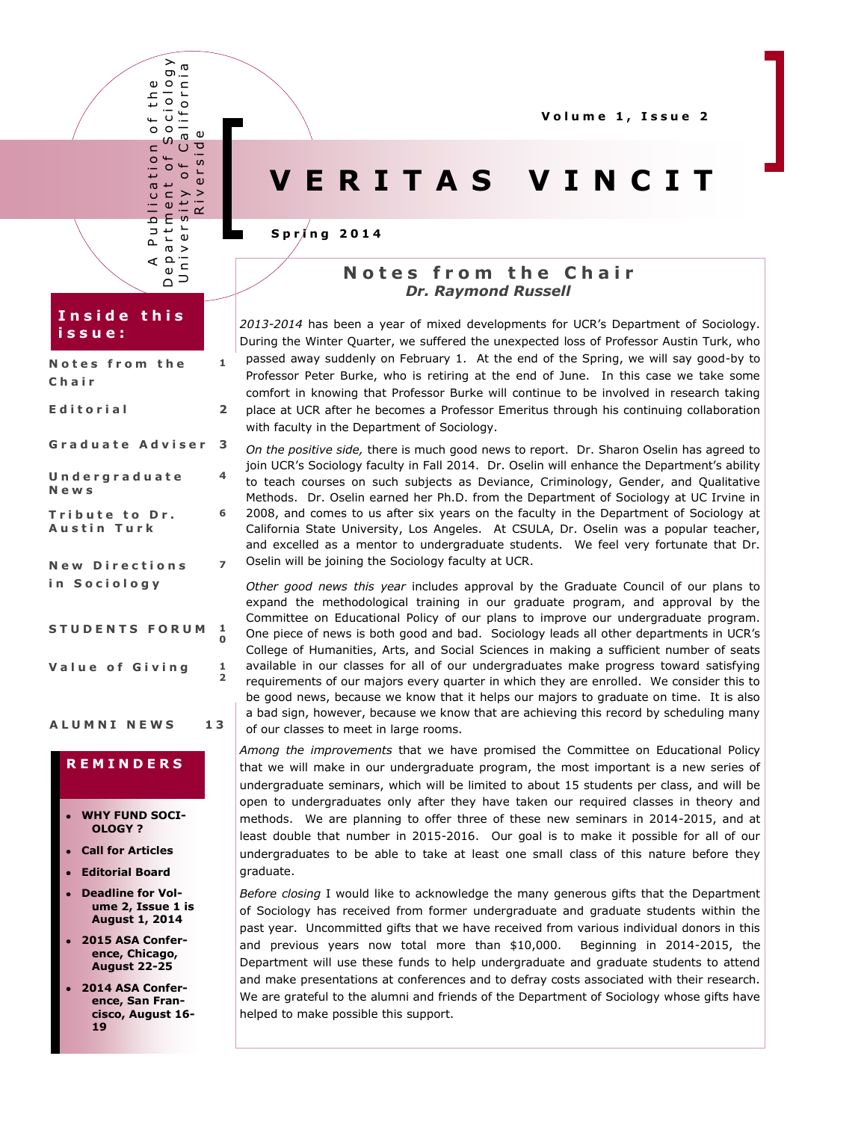**V o l u m e 1 , I s s u e 2**

# **V E R I T A S V I N C I T**

### **S p r i n g 2 0 1 4**

## **N o t e s f r o m t h e C h a i r** *Dr. Raymond Russell*

*2013-2014* has been a year of mixed developments for UCR's Department of Sociology. During the Winter Quarter, we suffered the unexpected loss of Professor Austin Turk, who passed away suddenly on February 1. At the end of the Spring, we will say good-by to Professor Peter Burke, who is retiring at the end of June. In this case we take some comfort in knowing that Professor Burke will continue to be involved in research taking place at UCR after he becomes a Professor Emeritus through his continuing collaboration with faculty in the Department of Sociology.

*On the positive side,* there is much good news to report. Dr. Sharon Oselin has agreed to join UCR's Sociology faculty in Fall 2014. Dr. Oselin will enhance the Department's ability to teach courses on such subjects as Deviance, Criminology, Gender, and Qualitative Methods. Dr. Oselin earned her Ph.D. from the Department of Sociology at UC Irvine in 2008, and comes to us after six years on the faculty in the Department of Sociology at California State University, Los Angeles. At CSULA, Dr. Oselin was a popular teacher, and excelled as a mentor to undergraduate students. We feel very fortunate that Dr. Oselin will be joining the Sociology faculty at UCR.

*Other good news this year* includes approval by the Graduate Council of our plans to expand the methodological training in our graduate program, and approval by the Committee on Educational Policy of our plans to improve our undergraduate program. One piece of news is both good and bad. Sociology leads all other departments in UCR's College of Humanities, Arts, and Social Sciences in making a sufficient number of seats available in our classes for all of our undergraduates make progress toward satisfying requirements of our majors every quarter in which they are enrolled. We consider this to be good news, because we know that it helps our majors to graduate on time. It is also a bad sign, however, because we know that are achieving this record by scheduling many of our classes to meet in large rooms.

*Among the improvements* that we have promised the Committee on Educational Policy that we will make in our undergraduate program, the most important is a new series of undergraduate seminars, which will be limited to about 15 students per class, and will be open to undergraduates only after they have taken our required classes in theory and methods. We are planning to offer three of these new seminars in 2014-2015, and at least double that number in 2015-2016. Our goal is to make it possible for all of our undergraduates to be able to take at least one small class of this nature before they graduate.

*Before closing* I would like to acknowledge the many generous gifts that the Department of Sociology has received from former undergraduate and graduate students within the past year. Uncommitted gifts that we have received from various individual donors in this and previous years now total more than \$10,000. Beginning in 2014-2015, the Department will use these funds to help undergraduate and graduate students to attend and make presentations at conferences and to defray costs associated with their research. We are grateful to the alumni and friends of the Department of Sociology whose gifts have helped to make possible this support.

## **I n s i d e t h i s i s s u e :**

A P u b l i c a t i o n o f t h e D e p a r t m e n t o f S o c i o l o g y \ U n i v e r s i t y o f C a l i f o r n i a Iblication<br>Iment of Sc<br>rsity of Cal<br>Riverside

 $\frac{1}{2}$   $\frac{1}{2}$  $\overline{\phantom{a}}$  $\omega$ 

 $\sum_{i=1}^{n}$ 

 $\mathbf{r}$  $\sigma$  >  $\frac{\rho}{\omega}$ Ξ

⋖

 $\overline{\phantom{a}}^{\phantom{\dag}}$  $\circ$ S  $\mathbf{C}$  $\leftarrow$ tion  $\leftarrow$  $\circ$  $\circ$ 

G)  $\overline{\phantom{a}}^{\circ}$  $\frac{1}{1}$  $\overline{c}$ iol Calif

 $\frac{1}{\mathsf{D}}$  $\sigma$ iu.

| Notes from the<br>Chair               | 1      |
|---------------------------------------|--------|
| Editorial                             | 2      |
| Graduate Adviser                      | з      |
| Undergraduate<br>News                 | 4      |
| Tribute to Dr.<br>Austin Turk         | 6      |
| <b>New Directions</b><br>in Sociology |        |
| <b>STUDENTS FORUM</b>                 | 1<br>O |

### **A L U M N I N E W S 1 3**

Value of Giving 1

**2**

## **R E M I N D E R S**

- **WHY FUND SOCI-OLOGY ?**
- **Call for Articles**
- **Editorial Board**
- **Deadline for Volume 2, Issue 1 is August 1, 2014**
- **2015 ASA Conference, Chicago, August 22-25**
- **2014 ASA Conference, San Francisco, August 16- 19**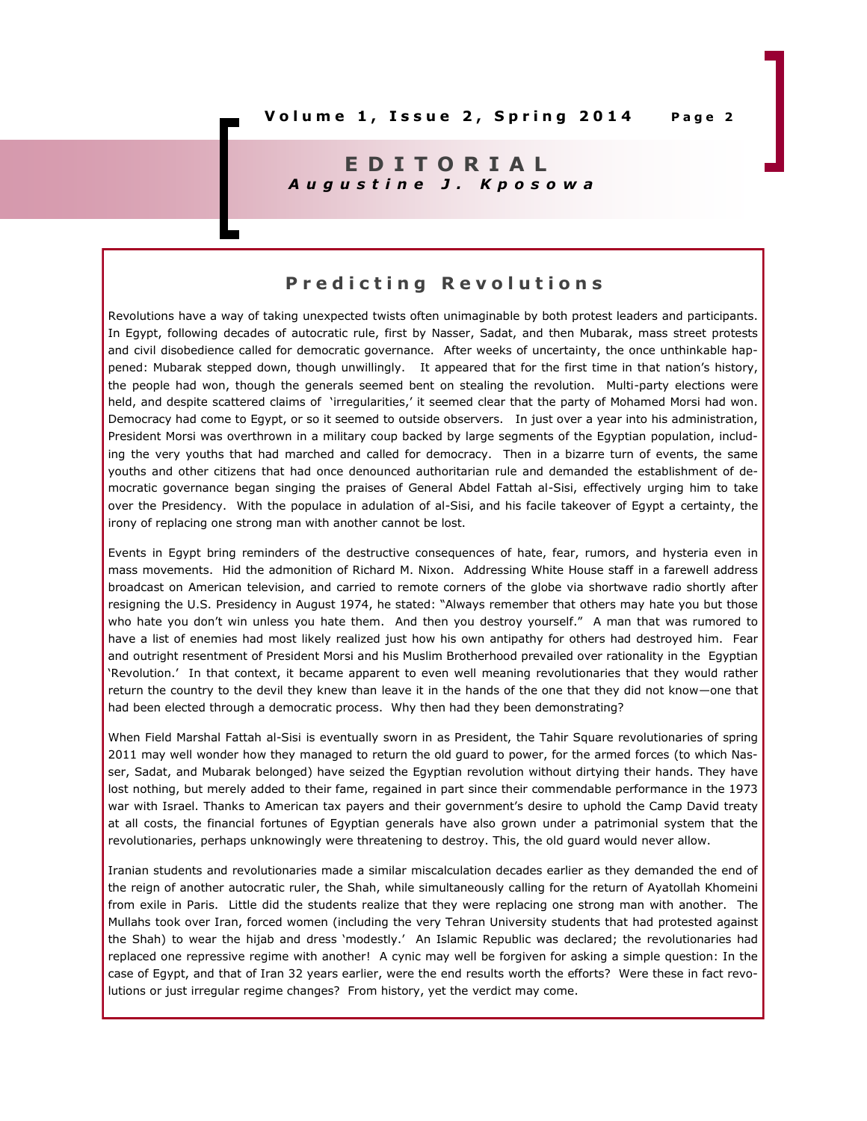## **E D I T O R I A L** *A u g u s t i n e J . K p o s o w a*

## **P r e d i c t i n g R e v o l u t i o n s**

Revolutions have a way of taking unexpected twists often unimaginable by both protest leaders and participants. In Egypt, following decades of autocratic rule, first by Nasser, Sadat, and then Mubarak, mass street protests and civil disobedience called for democratic governance. After weeks of uncertainty, the once unthinkable happened: Mubarak stepped down, though unwillingly. It appeared that for the first time in that nation's history, the people had won, though the generals seemed bent on stealing the revolution. Multi-party elections were held, and despite scattered claims of 'irregularities,' it seemed clear that the party of Mohamed Morsi had won. Democracy had come to Egypt, or so it seemed to outside observers. In just over a year into his administration, President Morsi was overthrown in a military coup backed by large segments of the Egyptian population, including the very youths that had marched and called for democracy. Then in a bizarre turn of events, the same youths and other citizens that had once denounced authoritarian rule and demanded the establishment of democratic governance began singing the praises of General Abdel Fattah al-Sisi, effectively urging him to take over the Presidency. With the populace in adulation of al-Sisi, and his facile takeover of Egypt a certainty, the irony of replacing one strong man with another cannot be lost.

Events in Egypt bring reminders of the destructive consequences of hate, fear, rumors, and hysteria even in mass movements. Hid the admonition of Richard M. Nixon. Addressing White House staff in a farewell address broadcast on American television, and carried to remote corners of the globe via shortwave radio shortly after resigning the U.S. Presidency in August 1974, he stated: "Always remember that others may hate you but those who hate you don't win unless you hate them. And then you destroy yourself." A man that was rumored to have a list of enemies had most likely realized just how his own antipathy for others had destroyed him. Fear and outright resentment of President Morsi and his Muslim Brotherhood prevailed over rationality in the Egyptian 'Revolution.' In that context, it became apparent to even well meaning revolutionaries that they would rather return the country to the devil they knew than leave it in the hands of the one that they did not know—one that had been elected through a democratic process. Why then had they been demonstrating?

When Field Marshal Fattah al-Sisi is eventually sworn in as President, the Tahir Square revolutionaries of spring 2011 may well wonder how they managed to return the old guard to power, for the armed forces (to which Nasser, Sadat, and Mubarak belonged) have seized the Egyptian revolution without dirtying their hands. They have lost nothing, but merely added to their fame, regained in part since their commendable performance in the 1973 war with Israel. Thanks to American tax payers and their government's desire to uphold the Camp David treaty at all costs, the financial fortunes of Egyptian generals have also grown under a patrimonial system that the revolutionaries, perhaps unknowingly were threatening to destroy. This, the old guard would never allow.

Iranian students and revolutionaries made a similar miscalculation decades earlier as they demanded the end of the reign of another autocratic ruler, the Shah, while simultaneously calling for the return of Ayatollah Khomeini from exile in Paris. Little did the students realize that they were replacing one strong man with another. The Mullahs took over Iran, forced women (including the very Tehran University students that had protested against the Shah) to wear the hijab and dress 'modestly.' An Islamic Republic was declared; the revolutionaries had replaced one repressive regime with another! A cynic may well be forgiven for asking a simple question: In the case of Egypt, and that of Iran 32 years earlier, were the end results worth the efforts? Were these in fact revolutions or just irregular regime changes? From history, yet the verdict may come.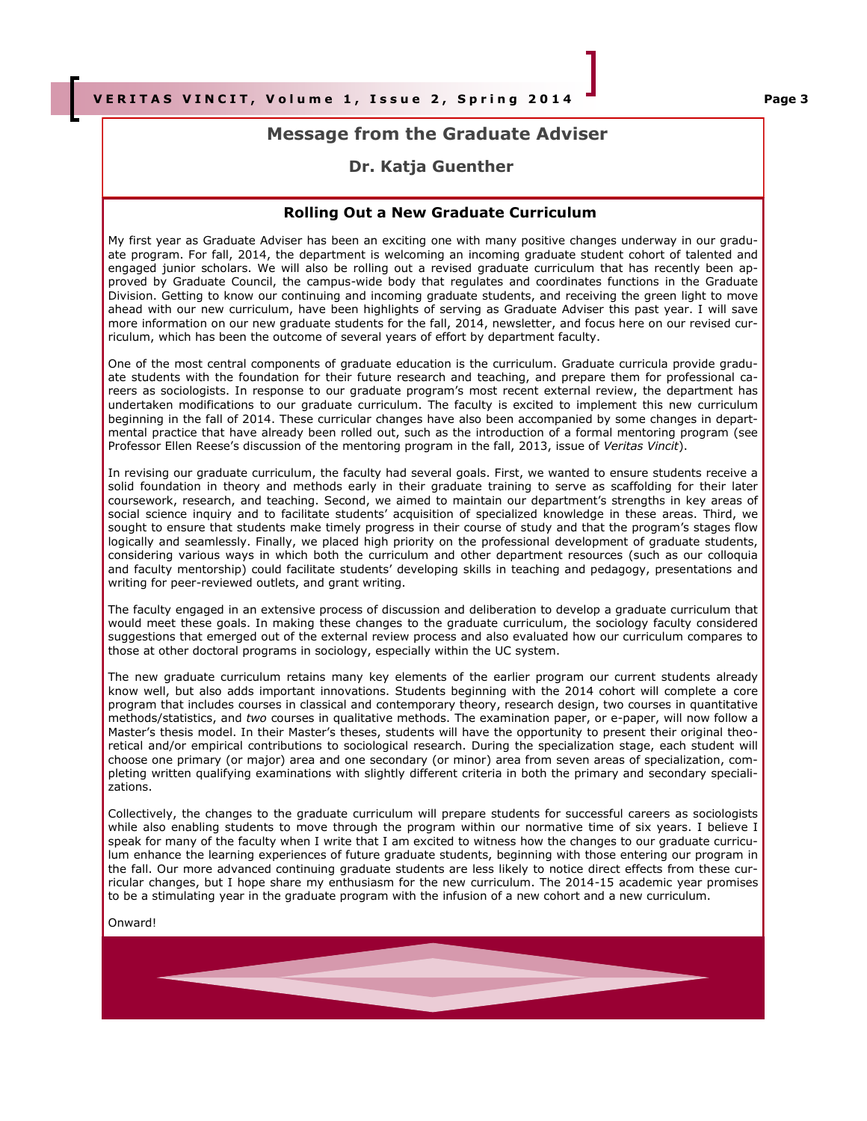## **Message from the Graduate Adviser**

## **Dr. Katja Guenther**

#### **Rolling Out a New Graduate Curriculum**

My first year as Graduate Adviser has been an exciting one with many positive changes underway in our graduate program. For fall, 2014, the department is welcoming an incoming graduate student cohort of talented and engaged junior scholars. We will also be rolling out a revised graduate curriculum that has recently been approved by Graduate Council, the campus-wide body that regulates and coordinates functions in the Graduate Division. Getting to know our continuing and incoming graduate students, and receiving the green light to move ahead with our new curriculum, have been highlights of serving as Graduate Adviser this past year. I will save more information on our new graduate students for the fall, 2014, newsletter, and focus here on our revised curriculum, which has been the outcome of several years of effort by department faculty.

One of the most central components of graduate education is the curriculum. Graduate curricula provide graduate students with the foundation for their future research and teaching, and prepare them for professional careers as sociologists. In response to our graduate program's most recent external review, the department has undertaken modifications to our graduate curriculum. The faculty is excited to implement this new curriculum beginning in the fall of 2014. These curricular changes have also been accompanied by some changes in departmental practice that have already been rolled out, such as the introduction of a formal mentoring program (see Professor Ellen Reese's discussion of the mentoring program in the fall, 2013, issue of *Veritas Vincit*).

In revising our graduate curriculum, the faculty had several goals. First, we wanted to ensure students receive a solid foundation in theory and methods early in their graduate training to serve as scaffolding for their later coursework, research, and teaching. Second, we aimed to maintain our department's strengths in key areas of social science inquiry and to facilitate students' acquisition of specialized knowledge in these areas. Third, we sought to ensure that students make timely progress in their course of study and that the program's stages flow logically and seamlessly. Finally, we placed high priority on the professional development of graduate students, considering various ways in which both the curriculum and other department resources (such as our colloquia and faculty mentorship) could facilitate students' developing skills in teaching and pedagogy, presentations and writing for peer-reviewed outlets, and grant writing.

The faculty engaged in an extensive process of discussion and deliberation to develop a graduate curriculum that would meet these goals. In making these changes to the graduate curriculum, the sociology faculty considered suggestions that emerged out of the external review process and also evaluated how our curriculum compares to those at other doctoral programs in sociology, especially within the UC system.

The new graduate curriculum retains many key elements of the earlier program our current students already know well, but also adds important innovations. Students beginning with the 2014 cohort will complete a core program that includes courses in classical and contemporary theory, research design, two courses in quantitative methods/statistics, and *two* courses in qualitative methods. The examination paper, or e-paper, will now follow a Master's thesis model. In their Master's theses, students will have the opportunity to present their original theoretical and/or empirical contributions to sociological research. During the specialization stage, each student will choose one primary (or major) area and one secondary (or minor) area from seven areas of specialization, completing written qualifying examinations with slightly different criteria in both the primary and secondary specializations.

Collectively, the changes to the graduate curriculum will prepare students for successful careers as sociologists while also enabling students to move through the program within our normative time of six years. I believe I speak for many of the faculty when I write that I am excited to witness how the changes to our graduate curriculum enhance the learning experiences of future graduate students, beginning with those entering our program in the fall. Our more advanced continuing graduate students are less likely to notice direct effects from these curricular changes, but I hope share my enthusiasm for the new curriculum. The 2014-15 academic year promises to be a stimulating year in the graduate program with the infusion of a new cohort and a new curriculum.

#### Onward!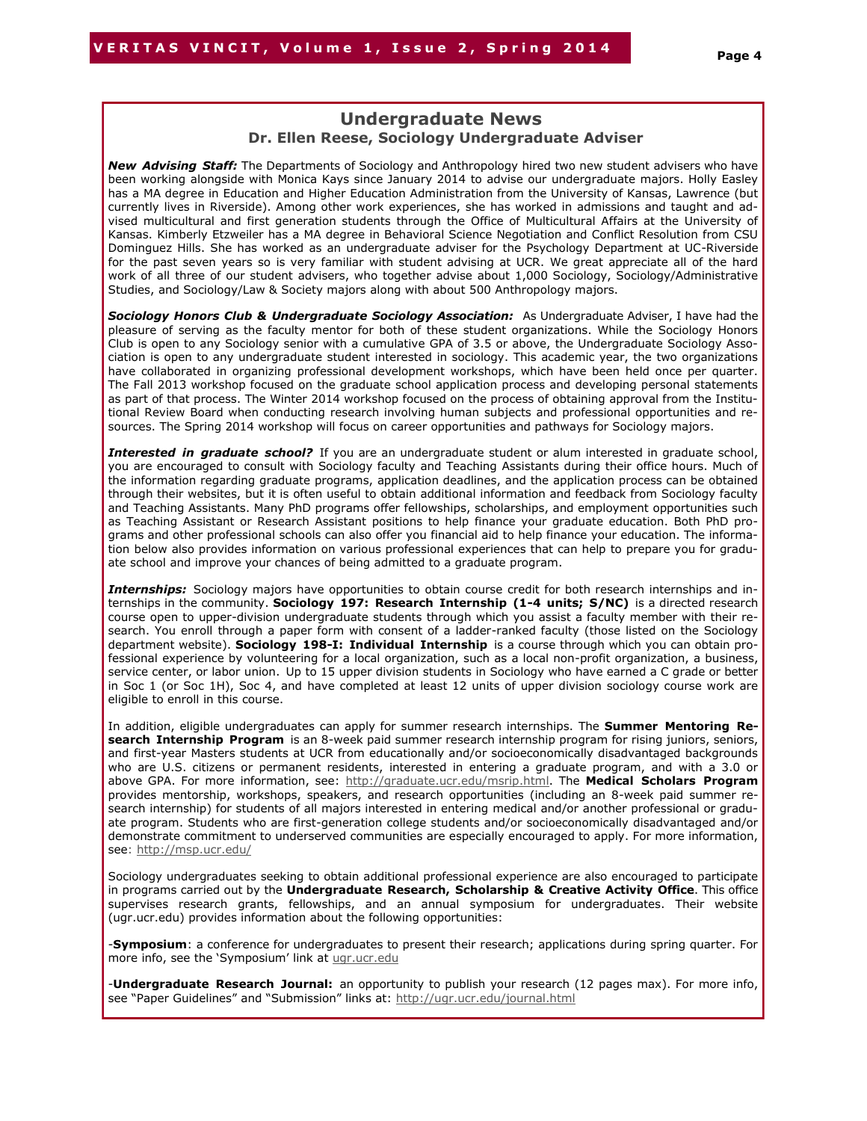## **Undergraduate News Dr. Ellen Reese, Sociology Undergraduate Adviser**

*New Advising Staff:* The Departments of Sociology and Anthropology hired two new student advisers who have been working alongside with Monica Kays since January 2014 to advise our undergraduate majors. Holly Easley has a MA degree in Education and Higher Education Administration from the University of Kansas, Lawrence (but currently lives in Riverside). Among other work experiences, she has worked in admissions and taught and advised multicultural and first generation students through the Office of Multicultural Affairs at the University of Kansas. Kimberly Etzweiler has a MA degree in Behavioral Science Negotiation and Conflict Resolution from CSU Dominguez Hills. She has worked as an undergraduate adviser for the Psychology Department at UC-Riverside for the past seven years so is very familiar with student advising at UCR. We great appreciate all of the hard work of all three of our student advisers, who together advise about 1,000 Sociology, Sociology/Administrative Studies, and Sociology/Law & Society majors along with about 500 Anthropology majors.

**Sociology Honors Club & Undergraduate Sociology Association:** As Undergraduate Adviser, I have had the pleasure of serving as the faculty mentor for both of these student organizations. While the Sociology Honors Club is open to any Sociology senior with a cumulative GPA of 3.5 or above, the Undergraduate Sociology Association is open to any undergraduate student interested in sociology. This academic year, the two organizations have collaborated in organizing professional development workshops, which have been held once per quarter. The Fall 2013 workshop focused on the graduate school application process and developing personal statements as part of that process. The Winter 2014 workshop focused on the process of obtaining approval from the Institutional Review Board when conducting research involving human subjects and professional opportunities and resources. The Spring 2014 workshop will focus on career opportunities and pathways for Sociology majors.

*Interested in graduate school?* If you are an undergraduate student or alum interested in graduate school, you are encouraged to consult with Sociology faculty and Teaching Assistants during their office hours. Much of the information regarding graduate programs, application deadlines, and the application process can be obtained through their websites, but it is often useful to obtain additional information and feedback from Sociology faculty and Teaching Assistants. Many PhD programs offer fellowships, scholarships, and employment opportunities such as Teaching Assistant or Research Assistant positions to help finance your graduate education. Both PhD programs and other professional schools can also offer you financial aid to help finance your education. The information below also provides information on various professional experiences that can help to prepare you for graduate school and improve your chances of being admitted to a graduate program.

*Internships:* Sociology majors have opportunities to obtain course credit for both research internships and internships in the community. **Sociology 197: Research Internship (1-4 units; S/NC)** is a directed research course open to upper-division undergraduate students through which you assist a faculty member with their research. You enroll through a paper form with consent of a ladder-ranked faculty (those listed on the Sociology department website). **Sociology 198-I: Individual Internship** is a course through which you can obtain professional experience by volunteering for a local organization, such as a local non-profit organization, a business, service center, or labor union. Up to 15 upper division students in Sociology who have earned a C grade or better in Soc 1 (or Soc 1H), Soc 4, and have completed at least 12 units of upper division sociology course work are eligible to enroll in this course.

In addition, eligible undergraduates can apply for summer research internships. The **Summer Mentoring Research Internship Program** is an 8-week paid summer research internship program for rising juniors, seniors, and first-year Masters students at UCR from educationally and/or socioeconomically disadvantaged backgrounds who are U.S. citizens or permanent residents, interested in entering a graduate program, and with a 3.0 or above GPA. For more information, see: [http://graduate.ucr.edu/msrip.html.](http://graduate.ucr.edu/msrip.html) The **Medical Scholars Program** provides mentorship, workshops, speakers, and research opportunities (including an 8-week paid summer research internship) for students of all majors interested in entering medical and/or another professional or graduate program. Students who are first-generation college students and/or socioeconomically disadvantaged and/or demonstrate commitment to underserved communities are especially encouraged to apply. For more information, see: <http://msp.ucr.edu/>

Sociology undergraduates seeking to obtain additional professional experience are also encouraged to participate in programs carried out by the **Undergraduate Research, Scholarship & Creative Activity Office**. This office supervises research grants, fellowships, and an annual symposium for undergraduates. Their website (ugr.ucr.edu) provides information about the following opportunities:

-**Symposium**: a conference for undergraduates to present their research; applications during spring quarter. For more info, see the 'Symposium' link at [ugr.ucr.edu](http://ugr.ucr.edu)

-**Undergraduate Research Journal:** an opportunity to publish your research (12 pages max). For more info, see "Paper Guidelines" and "Submission" links at: <http://ugr.ucr.edu/journal.html>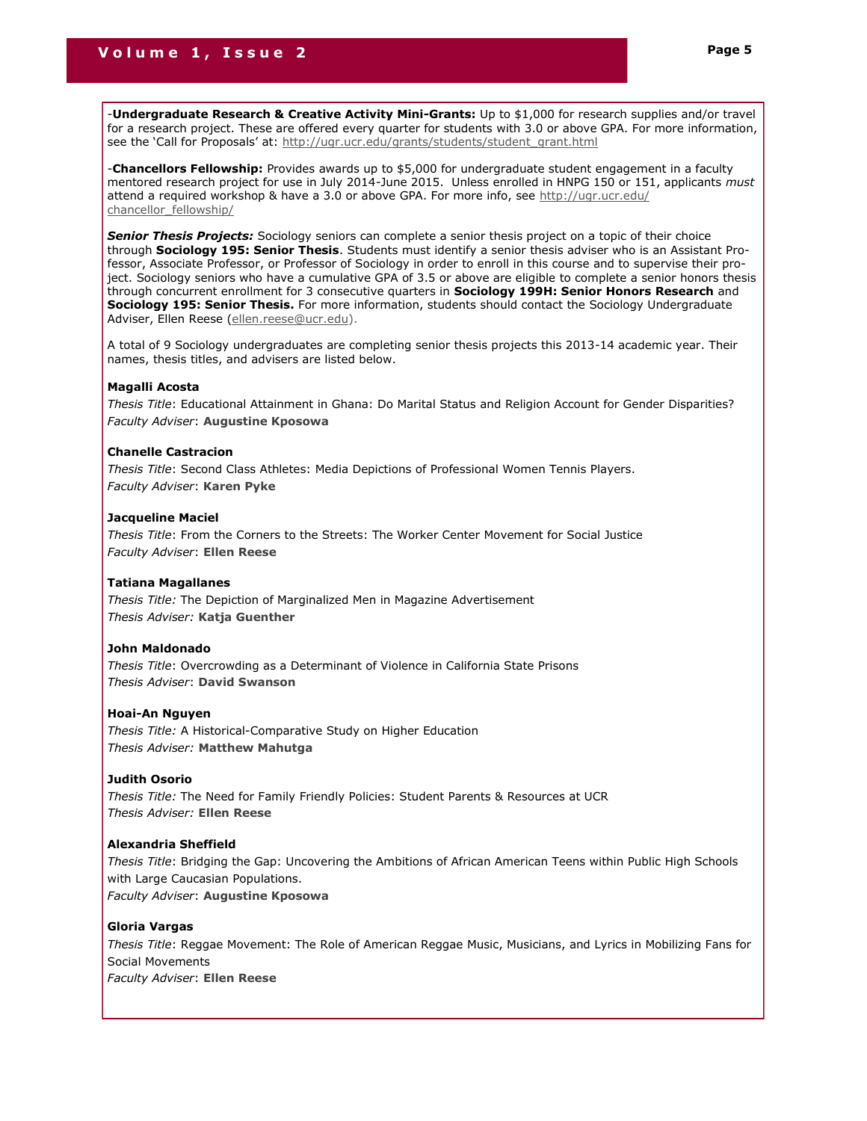-**Undergraduate Research & Creative Activity Mini-Grants:** Up to \$1,000 for research supplies and/or travel for a research project. These are offered every quarter for students with 3.0 or above GPA. For more information, see the 'Call for Proposals' at: [http://ugr.ucr.edu/grants/students/student\\_grant.html](http://ugr.ucr.edu/grants/students/student_grant.html)

-**Chancellors Fellowship:** Provides awards up to \$5,000 for undergraduate student engagement in a faculty mentored research project for use in July 2014-June 2015. Unless enrolled in HNPG 150 or 151, applicants *must* attend a required workshop & have a 3.0 or above GPA. For more info, see [http://ugr.ucr.edu/](http://ugr.ucr.edu/chancellor_fellowship/) [chancellor\\_fellowship/](http://ugr.ucr.edu/chancellor_fellowship/)

*Senior Thesis Projects:* Sociology seniors can complete a senior thesis project on a topic of their choice through **Sociology 195: Senior Thesis**. Students must identify a senior thesis adviser who is an Assistant Professor, Associate Professor, or Professor of Sociology in order to enroll in this course and to supervise their project. Sociology seniors who have a cumulative GPA of 3.5 or above are eligible to complete a senior honors thesis through concurrent enrollment for 3 consecutive quarters in **Sociology 199H: Senior Honors Research** and **Sociology 195: Senior Thesis.** For more information, students should contact the Sociology Undergraduate Adviser, Ellen Reese ([ellen.reese@ucr.edu\).](mailto:ellen.reese@ucr.edu)

A total of 9 Sociology undergraduates are completing senior thesis projects this 2013-14 academic year. Their names, thesis titles, and advisers are listed below.

#### **Magalli Acosta**

*Thesis Title*: Educational Attainment in Ghana: Do Marital Status and Religion Account for Gender Disparities? *Faculty Adviser*: **Augustine Kposowa**

#### **Chanelle Castracion**

*Thesis Title*: Second Class Athletes: Media Depictions of Professional Women Tennis Players. *Faculty Adviser*: **Karen Pyke**

#### **Jacqueline Maciel**

*Thesis Title*: From the Corners to the Streets: The Worker Center Movement for Social Justice *Faculty Adviser*: **Ellen Reese**

#### **Tatiana Magallanes**

*Thesis Title:* The Depiction of Marginalized Men in Magazine Advertisement *Thesis Adviser:* **Katja Guenther**

#### **John Maldonado**

*Thesis Title*: Overcrowding as a Determinant of Violence in California State Prisons *Thesis Adviser*: **David Swanson**

#### **Hoai-An Nguyen**

*Thesis Title:* A Historical-Comparative Study on Higher Education *Thesis Adviser:* **Matthew Mahutga**

#### **Judith Osorio**

*Thesis Title:* The Need for Family Friendly Policies: Student Parents & Resources at UCR *Thesis Adviser:* **Ellen Reese**

#### **Alexandria Sheffield**

*Thesis Title*: Bridging the Gap: Uncovering the Ambitions of African American Teens within Public High Schools with Large Caucasian Populations. *Faculty Adviser*: **Augustine Kposowa**

#### **Gloria Vargas**

*Thesis Title*: Reggae Movement: The Role of American Reggae Music, Musicians, and Lyrics in Mobilizing Fans for Social Movements *Faculty Adviser*: **Ellen Reese**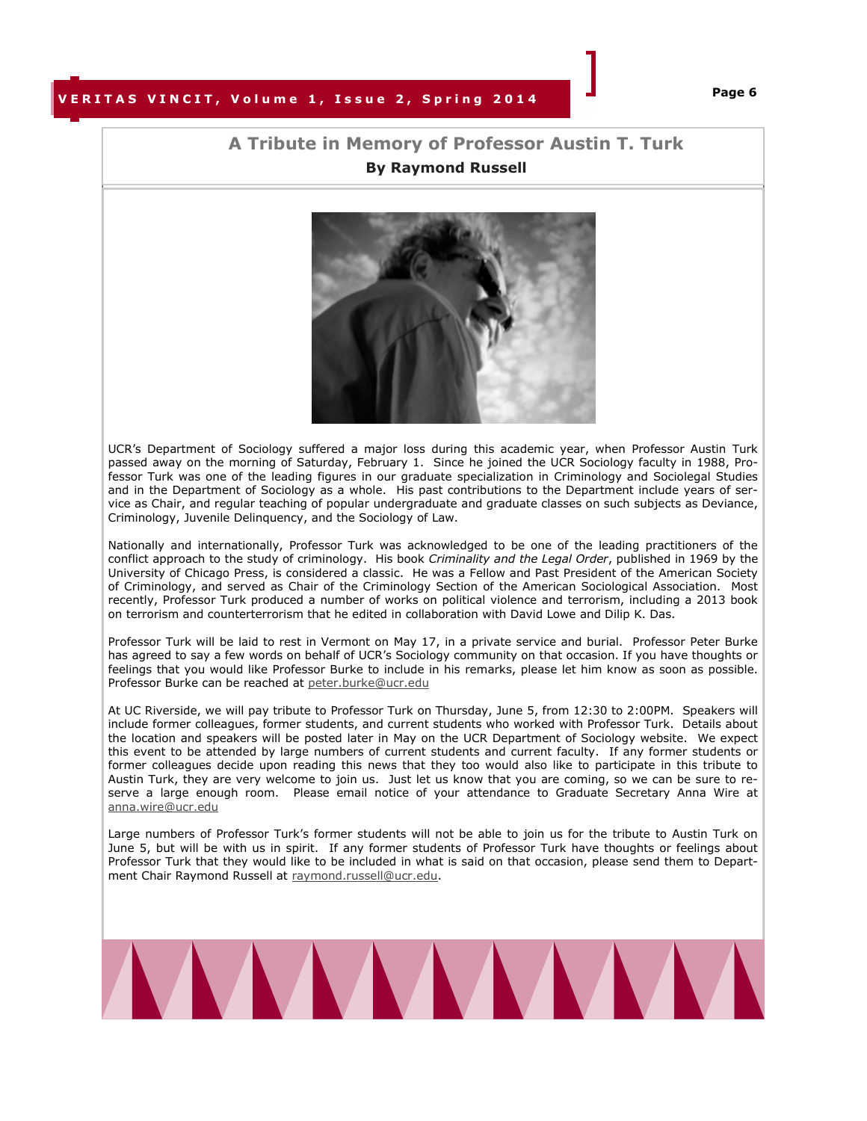## **VERITAS VINCIT, Volume 1, Issue 2, Spring 2014**

## **A Tribute in Memory of Professor Austin T. Turk By Raymond Russell**



UCR's Department of Sociology suffered a major loss during this academic year, when Professor Austin Turk passed away on the morning of Saturday, February 1. Since he joined the UCR Sociology faculty in 1988, Professor Turk was one of the leading figures in our graduate specialization in Criminology and Sociolegal Studies and in the Department of Sociology as a whole. His past contributions to the Department include years of service as Chair, and regular teaching of popular undergraduate and graduate classes on such subjects as Deviance, Criminology, Juvenile Delinquency, and the Sociology of Law.

Nationally and internationally, Professor Turk was acknowledged to be one of the leading practitioners of the conflict approach to the study of criminology. His book *Criminality and the Legal Order*, published in 1969 by the University of Chicago Press, is considered a classic. He was a Fellow and Past President of the American Society of Criminology, and served as Chair of the Criminology Section of the American Sociological Association. Most recently, Professor Turk produced a number of works on political violence and terrorism, including a 2013 book on terrorism and counterterrorism that he edited in collaboration with David Lowe and Dilip K. Das.

Professor Turk will be laid to rest in Vermont on May 17, in a private service and burial. Professor Peter Burke has agreed to say a few words on behalf of UCR's Sociology community on that occasion. If you have thoughts or feelings that you would like Professor Burke to include in his remarks, please let him know as soon as possible. Professor Burke can be reached at [peter.burke@ucr.edu](mailto:peter.burke@ucr.edu)

At UC Riverside, we will pay tribute to Professor Turk on Thursday, June 5, from 12:30 to 2:00PM. Speakers will include former colleagues, former students, and current students who worked with Professor Turk. Details about the location and speakers will be posted later in May on the UCR Department of Sociology website. We expect this event to be attended by large numbers of current students and current faculty. If any former students or former colleagues decide upon reading this news that they too would also like to participate in this tribute to Austin Turk, they are very welcome to join us. Just let us know that you are coming, so we can be sure to reserve a large enough room. Please email notice of your attendance to Graduate Secretary Anna Wire at [anna.wire@ucr.edu](mailto:anna.wire@ucr.edu)

Large numbers of Professor Turk's former students will not be able to join us for the tribute to Austin Turk on June 5, but will be with us in spirit. If any former students of Professor Turk have thoughts or feelings about Professor Turk that they would like to be included in what is said on that occasion, please send them to Department Chair Raymond Russell at [raymond.russell@ucr.edu.](mailto:raymond.russell@ucr.edu)

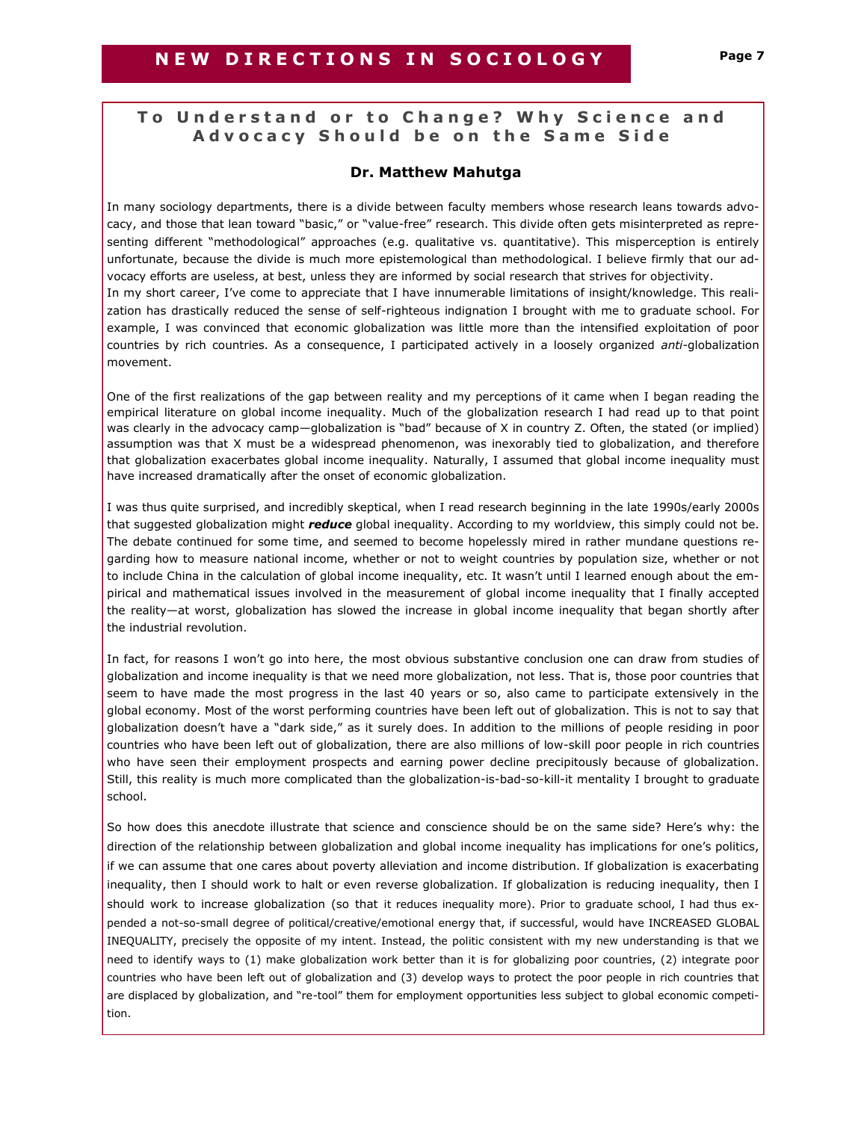## **To Understand or to Change? Why Science and A d v o c a c y S h o u l d b e o n t h e S a m e S i d e**

## **Dr. Matthew Mahutga**

In many sociology departments, there is a divide between faculty members whose research leans towards advocacy, and those that lean toward "basic," or "value-free" research. This divide often gets misinterpreted as representing different "methodological" approaches (e.g. qualitative vs. quantitative). This misperception is entirely unfortunate, because the divide is much more epistemological than methodological. I believe firmly that our advocacy efforts are useless, at best, unless they are informed by social research that strives for objectivity. In my short career, I've come to appreciate that I have innumerable limitations of insight/knowledge. This realization has drastically reduced the sense of self-righteous indignation I brought with me to graduate school. For example, I was convinced that economic globalization was little more than the intensified exploitation of poor countries by rich countries. As a consequence, I participated actively in a loosely organized *anti-*globalization movement.

One of the first realizations of the gap between reality and my perceptions of it came when I began reading the empirical literature on global income inequality. Much of the globalization research I had read up to that point was clearly in the advocacy camp-globalization is "bad" because of X in country Z. Often, the stated (or implied) assumption was that X must be a widespread phenomenon, was inexorably tied to globalization, and therefore that globalization exacerbates global income inequality. Naturally, I assumed that global income inequality must have increased dramatically after the onset of economic globalization.

I was thus quite surprised, and incredibly skeptical, when I read research beginning in the late 1990s/early 2000s that suggested globalization might *reduce* global inequality. According to my worldview, this simply could not be. The debate continued for some time, and seemed to become hopelessly mired in rather mundane questions regarding how to measure national income, whether or not to weight countries by population size, whether or not to include China in the calculation of global income inequality, etc. It wasn't until I learned enough about the empirical and mathematical issues involved in the measurement of global income inequality that I finally accepted the reality—at worst, globalization has slowed the increase in global income inequality that began shortly after the industrial revolution.

In fact, for reasons I won't go into here, the most obvious substantive conclusion one can draw from studies of globalization and income inequality is that we need more globalization, not less. That is, those poor countries that seem to have made the most progress in the last 40 years or so, also came to participate extensively in the global economy. Most of the worst performing countries have been left out of globalization. This is not to say that globalization doesn't have a "dark side," as it surely does. In addition to the millions of people residing in poor countries who have been left out of globalization, there are also millions of low-skill poor people in rich countries who have seen their employment prospects and earning power decline precipitously because of globalization. Still, this reality is much more complicated than the globalization-is-bad-so-kill-it mentality I brought to graduate school.

So how does this anecdote illustrate that science and conscience should be on the same side? Here's why: the direction of the relationship between globalization and global income inequality has implications for one's politics, if we can assume that one cares about poverty alleviation and income distribution. If globalization is exacerbating inequality, then I should work to halt or even reverse globalization. If globalization is reducing inequality, then I should work to increase globalization (so that it reduces inequality more). Prior to graduate school, I had thus expended a not-so-small degree of political/creative/emotional energy that, if successful, would have INCREASED GLOBAL INEQUALITY, precisely the opposite of my intent. Instead, the politic consistent with my new understanding is that we need to identify ways to (1) make globalization work better than it is for globalizing poor countries, (2) integrate poor countries who have been left out of globalization and (3) develop ways to protect the poor people in rich countries that are displaced by globalization, and "re-tool" them for employment opportunities less subject to global economic competition.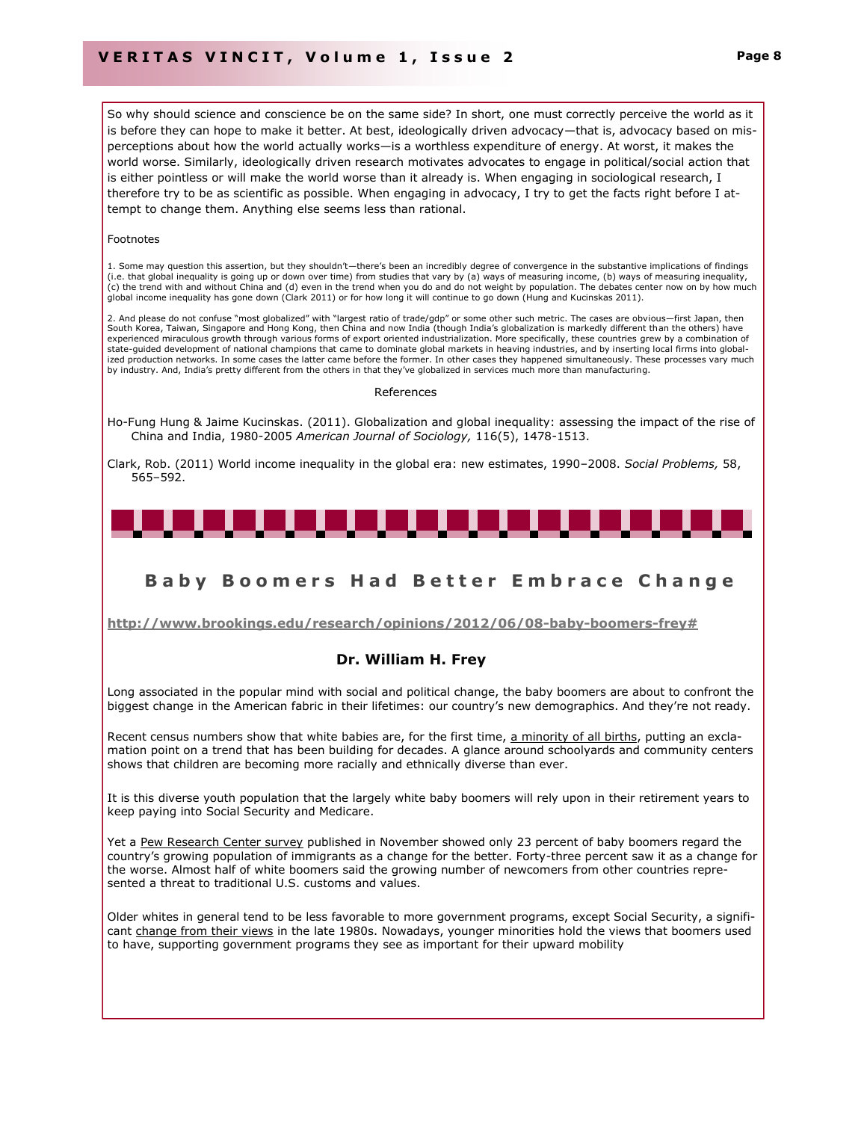So why should science and conscience be on the same side? In short, one must correctly perceive the world as it is before they can hope to make it better. At best, ideologically driven advocacy—that is, advocacy based on misperceptions about how the world actually works—is a worthless expenditure of energy. At worst, it makes the world worse. Similarly, ideologically driven research motivates advocates to engage in political/social action that is either pointless or will make the world worse than it already is. When engaging in sociological research, I therefore try to be as scientific as possible. When engaging in advocacy, I try to get the facts right before I attempt to change them. Anything else seems less than rational.

#### Footnotes

1. Some may question this assertion, but they shouldn't—there's been an incredibly degree of convergence in the substantive implications of findings (i.e. that global inequality is going up or down over time) from studies that vary by (a) ways of measuring income, (b) ways of measuring inequality, (c) the trend with and without China and (d) even in the trend when you do and do not weight by population. The debates center now on by how much global income inequality has gone down (Clark 2011) or for how long it will continue to go down (Hung and Kucinskas 2011).

2. And please do not confuse "most globalized" with "largest ratio of trade/gdp" or some other such metric. The cases are obvious—first Japan, then South Korea, Taiwan, Singapore and Hong Kong, then China and now India (though India's globalization is markedly different than the others) have experienced miraculous growth through various forms of export oriented industrialization. More specifically, these countries grew by a combination of state-guided development of national champions that came to dominate global markets in heaving industries, and by inserting local firms into globalized production networks. In some cases the latter came before the former. In other cases they happened simultaneously. These processes vary much by industry. And, India's pretty different from the others in that they've globalized in services much more than manufacturing.

#### References

Ho-Fung Hung & Jaime Kucinskas. (2011). Globalization and global inequality: assessing the impact of the rise of China and India, 1980-2005 *American Journal of Sociology,* 116(5), 1478-1513.

Clark, Rob. (2011) World income inequality in the global era: new estimates, 1990–2008. *Social Problems,* 58, 565–592.



## **B a b y B o o m e r s H a d B e t t e r E m b r a c e C h a n g e**

**[http://www.brookings.edu/research/opinions/2012/06/08-baby-boomers-frey#](http://www.brookings.edu/research/opinions/2012/06/08-baby-boomers-frey)**

### **[Dr. William H. Frey](http://www.brookings.edu/experts/freyw)**

Long associated in the popular mind with social and political change, the baby boomers are about to confront the biggest change in the American fabric in their lifetimes: our country's new demographics. And they're not ready.

Recent census numbers show that white babies are, for the first time, [a minority of all births,](http://www.washingtonpost.com/local/census-minority-babies-are-now-majority-in-united-states/2012/05/16/gIQA1WY8UU_story.html) putting an exclamation point on a trend that has been building for decades. A glance around schoolyards and community centers shows that children are becoming more racially and ethnically diverse than ever.

It is this diverse youth population that the largely white baby boomers will rely upon in their retirement years to keep paying into Social Security and Medicare.

Yet a [Pew Research Center survey](http://www.people-press.org/files/legacy-pdf/11-3-11%20Generations%20Release.pdf) published in November showed only 23 percent of baby boomers regard the country's growing population of immigrants as a change for the better. Forty-three percent saw it as a change for the worse. Almost half of white boomers said the growing number of newcomers from other countries represented a threat to traditional U.S. customs and values.

Older whites in general tend to be less favorable to more government programs, except Social Security, a significant [change from their views](http://pewresearch.org/pubs/2122/generation-gap-barack-obama-mitt-romney-republicans-democrats-silent-generation-millenials-genxers-baby-boomers) in the late 1980s. Nowadays, younger minorities hold the views that boomers used to have, supporting government programs they see as important for their upward mobility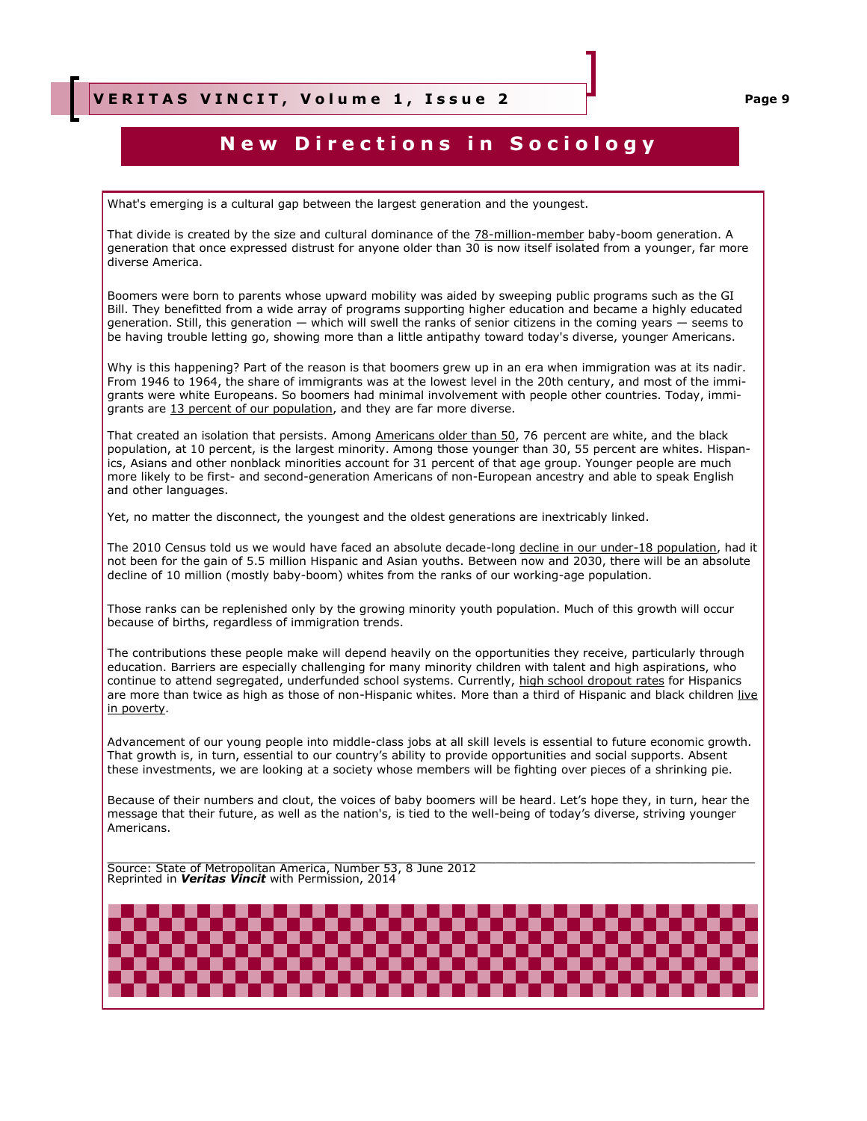## **New Directions in Sociology**

What's emerging is a cultural gap between the largest generation and the youngest.

That divide is created by the size and cultural dominance of the **[78-million-member](http://www.census.gov/population/www/socdemo/age/2006%20Baby%20Boomers.pdf)** baby-boom generation. A generation that once expressed distrust for anyone older than 30 is now itself isolated from a younger, far more diverse America.

Boomers were born to parents whose upward mobility was aided by sweeping public programs such as the GI Bill. They benefitted from a wide array of programs supporting higher education and became a highly educated generation. Still, this generation — which will swell the ranks of senior citizens in the coming years — seems to be having trouble letting go, showing more than a little antipathy toward today's diverse, younger Americans.

Why is this happening? Part of the reason is that boomers grew up in an era when immigration was at its nadir. From 1946 to 1964, the share of immigrants was at the lowest level in the 20th century, and most of the immigrants were white Europeans. So boomers had minimal involvement with people other countries. Today, immigrants are [13 percent of our population,](http://www.census.gov/newsroom/releases/archives/foreignborn_population/cb12-79.html) and they are far more diverse.

That created an isolation that persists. Among [Americans older than 50,](http://www.census.gov/popest/data/state/asrh/2011/index.html) 76 percent are white, and the black population, at 10 percent, is the largest minority. Among those younger than 30, 55 percent are whites. Hispanics, Asians and other nonblack minorities account for 31 percent of that age group. Younger people are much more likely to be first- and second-generation Americans of non-European ancestry and able to speak English and other languages.

Yet, no matter the disconnect, the youngest and the oldest generations are inextricably linked.

The 2010 Census told us we would have faced an absolute decade-long [decline in our under-18 population,](http://www.brookings.edu/~/media/research/files/papers/2011/4/06%20census%20diversity%20frey/0406_census_diversity_frey.pdf) had it not been for the gain of 5.5 million Hispanic and Asian youths. Between now and 2030, there will be an absolute decline of 10 million (mostly baby-boom) whites from the ranks of our working-age population.

Those ranks can be replenished only by the growing minority youth population. Much of this growth will occur because of births, regardless of immigration trends.

The contributions these people make will depend heavily on the opportunities they receive, particularly through education. Barriers are especially challenging for many minority children with talent and high aspirations, who continue to attend segregated, underfunded school systems. Currently, [high school dropout rates](http://www.census.gov/prod/2011pubs/p20-564.pdf) for Hispanics are more than twice as high as those of non-Hispanic whites. More than a third of Hispanic and black children live [in poverty.](http://www.pewhispanic.org/2011/09/28/childhood-poverty-among-hispanics-sets-record-leads-nation/)

Advancement of our young people into middle-class jobs at all skill levels is essential to future economic growth. That growth is, in turn, essential to our country's ability to provide opportunities and social supports. Absent these investments, we are looking at a society whose members will be fighting over pieces of a shrinking pie.

Because of their numbers and clout, the voices of baby boomers will be heard. Let's hope they, in turn, hear the message that their future, as well as the nation's, is tied to the well-being of today's diverse, striving younger Americans.

\_\_\_\_\_\_\_\_\_\_\_\_\_\_\_\_\_\_\_\_\_\_\_\_\_\_\_\_\_\_\_\_\_\_\_\_\_\_\_\_\_\_\_\_\_\_\_\_\_\_\_\_\_\_\_\_\_\_\_\_\_\_\_\_\_\_\_\_\_\_\_\_\_\_\_\_\_\_\_\_\_\_\_\_\_\_\_\_\_\_ Source: State of Metropolitan America, Number 53, 8 June 2012 Reprinted in *Veritas Vincit* with Permission, 2014

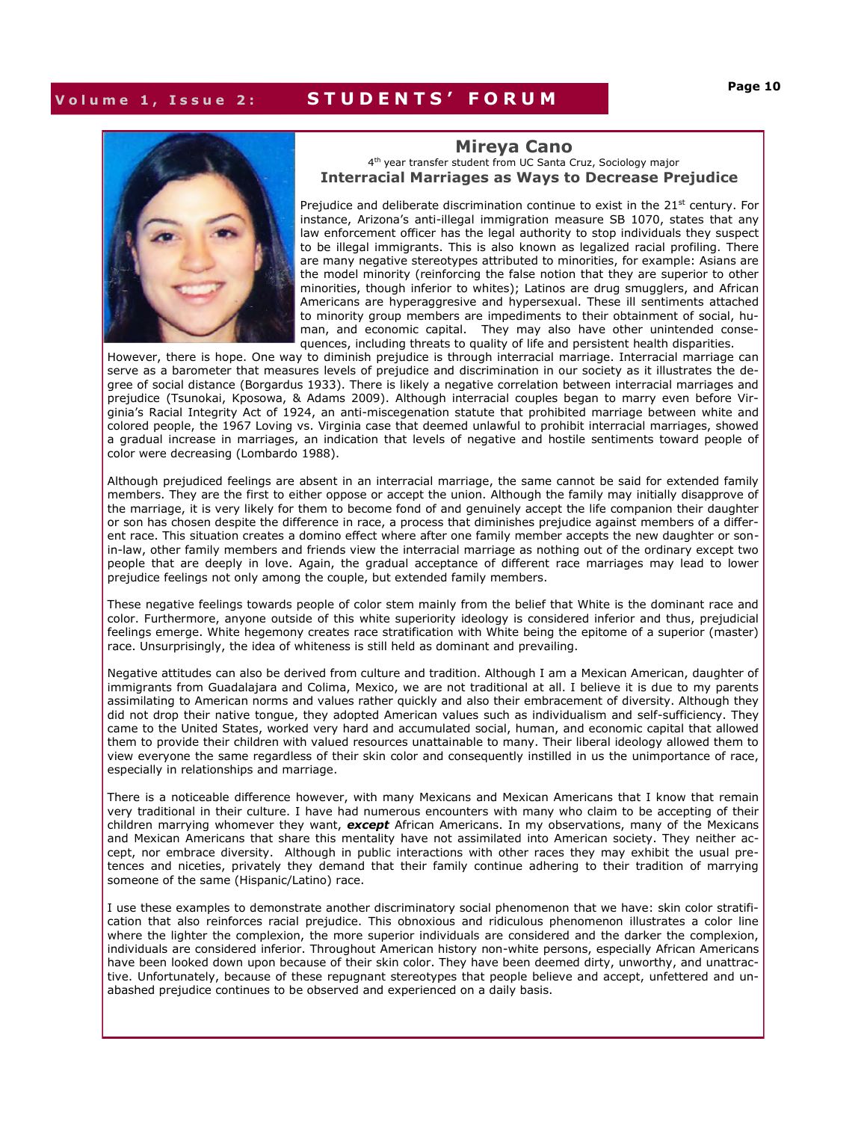## **V o l u m e 1 , I s s u e 2 : S T U D E N T S ' F O R U M**



#### **Mireya Cano**  4<sup>th</sup> year transfer student from UC Santa Cruz, Sociology major **Interracial Marriages as Ways to Decrease Prejudice**

Prejudice and deliberate discrimination continue to exist in the  $21<sup>st</sup>$  century. For instance, Arizona's anti-illegal immigration measure SB 1070, states that any law enforcement officer has the legal authority to stop individuals they suspect to be illegal immigrants. This is also known as legalized racial profiling. There are many negative stereotypes attributed to minorities, for example: Asians are the model minority (reinforcing the false notion that they are superior to other minorities, though inferior to whites); Latinos are drug smugglers, and African Americans are hyperaggresive and hypersexual. These ill sentiments attached to minority group members are impediments to their obtainment of social, human, and economic capital. They may also have other unintended consequences, including threats to quality of life and persistent health disparities.

However, there is hope. One way to diminish prejudice is through interracial marriage. Interracial marriage can serve as a barometer that measures levels of prejudice and discrimination in our society as it illustrates the degree of social distance (Borgardus 1933). There is likely a negative correlation between interracial marriages and prejudice (Tsunokai, Kposowa, & Adams 2009). Although interracial couples began to marry even before Virginia's Racial Integrity Act of 1924, an anti-miscegenation statute that prohibited marriage between white and colored people, the 1967 Loving vs. Virginia case that deemed unlawful to prohibit interracial marriages, showed a gradual increase in marriages, an indication that levels of negative and hostile sentiments toward people of color were decreasing (Lombardo 1988).

Although prejudiced feelings are absent in an interracial marriage, the same cannot be said for extended family members. They are the first to either oppose or accept the union. Although the family may initially disapprove of the marriage, it is very likely for them to become fond of and genuinely accept the life companion their daughter or son has chosen despite the difference in race, a process that diminishes prejudice against members of a different race. This situation creates a domino effect where after one family member accepts the new daughter or sonin-law, other family members and friends view the interracial marriage as nothing out of the ordinary except two people that are deeply in love. Again, the gradual acceptance of different race marriages may lead to lower prejudice feelings not only among the couple, but extended family members.

These negative feelings towards people of color stem mainly from the belief that White is the dominant race and color. Furthermore, anyone outside of this white superiority ideology is considered inferior and thus, prejudicial feelings emerge. White hegemony creates race stratification with White being the epitome of a superior (master) race. Unsurprisingly, the idea of whiteness is still held as dominant and prevailing.

Negative attitudes can also be derived from culture and tradition. Although I am a Mexican American, daughter of immigrants from Guadalajara and Colima, Mexico, we are not traditional at all. I believe it is due to my parents assimilating to American norms and values rather quickly and also their embracement of diversity. Although they did not drop their native tongue, they adopted American values such as individualism and self-sufficiency. They came to the United States, worked very hard and accumulated social, human, and economic capital that allowed them to provide their children with valued resources unattainable to many. Their liberal ideology allowed them to view everyone the same regardless of their skin color and consequently instilled in us the unimportance of race, especially in relationships and marriage.

There is a noticeable difference however, with many Mexicans and Mexican Americans that I know that remain very traditional in their culture. I have had numerous encounters with many who claim to be accepting of their children marrying whomever they want, *except* African Americans. In my observations, many of the Mexicans and Mexican Americans that share this mentality have not assimilated into American society. They neither accept, nor embrace diversity. Although in public interactions with other races they may exhibit the usual pretences and niceties, privately they demand that their family continue adhering to their tradition of marrying someone of the same (Hispanic/Latino) race.

I use these examples to demonstrate another discriminatory social phenomenon that we have: skin color stratification that also reinforces racial prejudice. This obnoxious and ridiculous phenomenon illustrates a color line where the lighter the complexion, the more superior individuals are considered and the darker the complexion, individuals are considered inferior. Throughout American history non-white persons, especially African Americans have been looked down upon because of their skin color. They have been deemed dirty, unworthy, and unattractive. Unfortunately, because of these repugnant stereotypes that people believe and accept, unfettered and unabashed prejudice continues to be observed and experienced on a daily basis.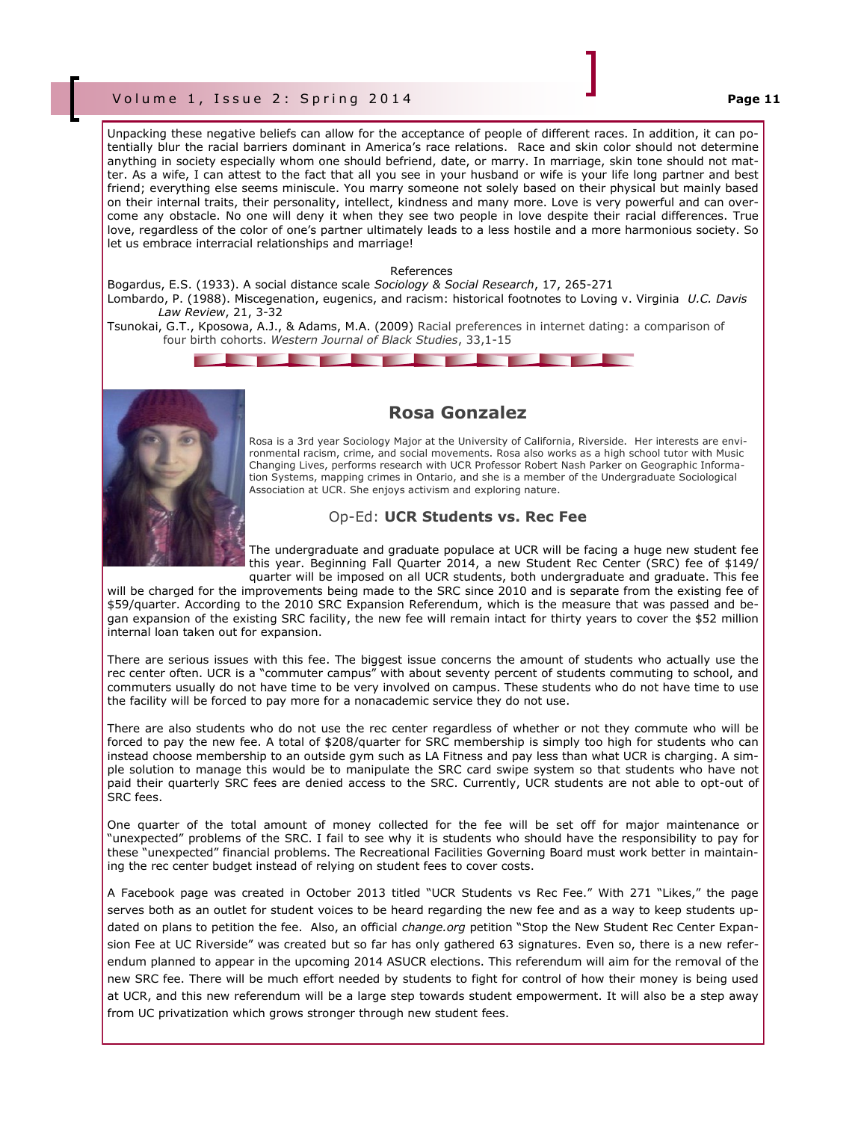### V o l u m e 1 , I s s u e 2 : S p r i n g 2 0 1 4 **Page 11**

Unpacking these negative beliefs can allow for the acceptance of people of different races. In addition, it can potentially blur the racial barriers dominant in America's race relations. Race and skin color should not determine anything in society especially whom one should befriend, date, or marry. In marriage, skin tone should not matter. As a wife, I can attest to the fact that all you see in your husband or wife is your life long partner and best friend; everything else seems miniscule. You marry someone not solely based on their physical but mainly based on their internal traits, their personality, intellect, kindness and many more. Love is very powerful and can overcome any obstacle. No one will deny it when they see two people in love despite their racial differences. True love, regardless of the color of one's partner ultimately leads to a less hostile and a more harmonious society. So let us embrace interracial relationships and marriage!

#### References

Bogardus, E.S. (1933). A social distance scale *Sociology & Social Research*, 17, 265-271 Lombardo, P. (1988). Miscegenation, eugenics, and racism: historical footnotes to Loving v. Virginia *U.C. Davis Law Review*, 21, 3-32

Tsunokai, G.T., Kposowa, A.J., & Adams, M.A. (2009) Racial preferences in internet dating: a comparison of four birth cohorts. *Western Journal of Black Studies*, 33,1-15





## **Rosa Gonzalez**

Rosa is a 3rd year Sociology Major at the University of California, Riverside. Her interests are environmental racism, crime, and social movements. Rosa also works as a high school tutor with Music Changing Lives, performs research with UCR Professor Robert Nash Parker on Geographic Information Systems, mapping crimes in Ontario, and she is a member of the Undergraduate Sociological Association at UCR. She enjoys activism and exploring nature.

### Op-Ed: **UCR Students vs. Rec Fee**

The undergraduate and graduate populace at UCR will be facing a huge new student fee this year. Beginning Fall Quarter 2014, a new Student Rec Center (SRC) fee of \$149/ quarter will be imposed on all UCR students, both undergraduate and graduate. This fee

will be charged for the improvements being made to the SRC since 2010 and is separate from the existing fee of \$59/quarter. According to the 2010 SRC Expansion Referendum, which is the measure that was passed and began expansion of the existing SRC facility, the new fee will remain intact for thirty years to cover the \$52 million internal loan taken out for expansion.

There are serious issues with this fee. The biggest issue concerns the amount of students who actually use the rec center often. UCR is a "commuter campus" with about seventy percent of students commuting to school, and commuters usually do not have time to be very involved on campus. These students who do not have time to use the facility will be forced to pay more for a nonacademic service they do not use.

There are also students who do not use the rec center regardless of whether or not they commute who will be forced to pay the new fee. A total of \$208/quarter for SRC membership is simply too high for students who can instead choose membership to an outside gym such as LA Fitness and pay less than what UCR is charging. A simple solution to manage this would be to manipulate the SRC card swipe system so that students who have not paid their quarterly SRC fees are denied access to the SRC. Currently, UCR students are not able to opt-out of SRC fees.

One quarter of the total amount of money collected for the fee will be set off for major maintenance or "unexpected" problems of the SRC. I fail to see why it is students who should have the responsibility to pay for these "unexpected" financial problems. The Recreational Facilities Governing Board must work better in maintaining the rec center budget instead of relying on student fees to cover costs.

A Facebook page was created in October 2013 titled "UCR Students vs Rec Fee." With 271 "Likes," the page serves both as an outlet for student voices to be heard regarding the new fee and as a way to keep students updated on plans to petition the fee. Also, an official *change.org* petition "Stop the New Student Rec Center Expansion Fee at UC Riverside" was created but so far has only gathered 63 signatures. Even so, there is a new referendum planned to appear in the upcoming 2014 ASUCR elections. This referendum will aim for the removal of the new SRC fee. There will be much effort needed by students to fight for control of how their money is being used at UCR, and this new referendum will be a large step towards student empowerment. It will also be a step away from UC privatization which grows stronger through new student fees.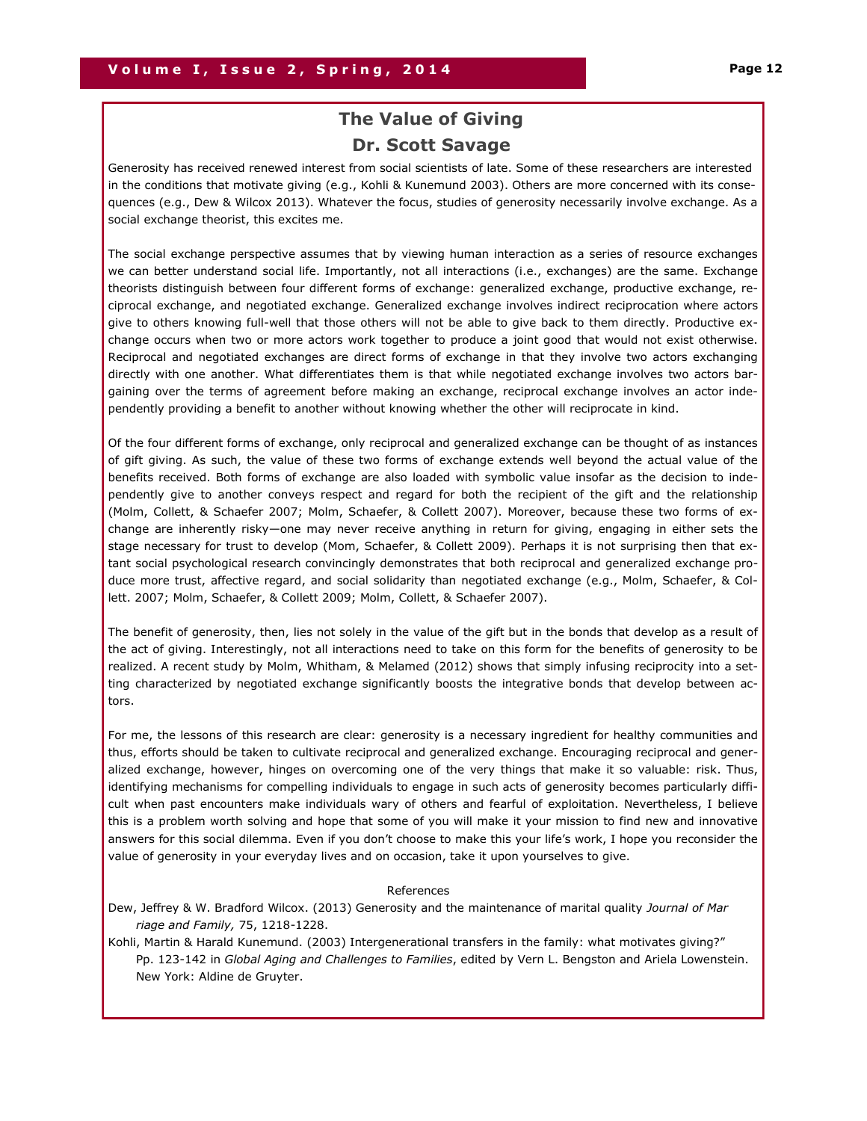## **The Value of Giving Dr. Scott Savage**

Generosity has received renewed interest from social scientists of late. Some of these researchers are interested in the conditions that motivate giving (e.g., Kohli & Kunemund 2003). Others are more concerned with its consequences (e.g., Dew & Wilcox 2013). Whatever the focus, studies of generosity necessarily involve exchange. As a social exchange theorist, this excites me.

The social exchange perspective assumes that by viewing human interaction as a series of resource exchanges we can better understand social life. Importantly, not all interactions (i.e., exchanges) are the same. Exchange theorists distinguish between four different forms of exchange: generalized exchange, productive exchange, reciprocal exchange, and negotiated exchange. Generalized exchange involves indirect reciprocation where actors give to others knowing full-well that those others will not be able to give back to them directly. Productive exchange occurs when two or more actors work together to produce a joint good that would not exist otherwise. Reciprocal and negotiated exchanges are direct forms of exchange in that they involve two actors exchanging directly with one another. What differentiates them is that while negotiated exchange involves two actors bargaining over the terms of agreement before making an exchange, reciprocal exchange involves an actor independently providing a benefit to another without knowing whether the other will reciprocate in kind.

Of the four different forms of exchange, only reciprocal and generalized exchange can be thought of as instances of gift giving. As such, the value of these two forms of exchange extends well beyond the actual value of the benefits received. Both forms of exchange are also loaded with symbolic value insofar as the decision to independently give to another conveys respect and regard for both the recipient of the gift and the relationship (Molm, Collett, & Schaefer 2007; Molm, Schaefer, & Collett 2007). Moreover, because these two forms of exchange are inherently risky—one may never receive anything in return for giving, engaging in either sets the stage necessary for trust to develop (Mom, Schaefer, & Collett 2009). Perhaps it is not surprising then that extant social psychological research convincingly demonstrates that both reciprocal and generalized exchange produce more trust, affective regard, and social solidarity than negotiated exchange (e.g., Molm, Schaefer, & Collett. 2007; Molm, Schaefer, & Collett 2009; Molm, Collett, & Schaefer 2007).

The benefit of generosity, then, lies not solely in the value of the gift but in the bonds that develop as a result of the act of giving. Interestingly, not all interactions need to take on this form for the benefits of generosity to be realized. A recent study by Molm, Whitham, & Melamed (2012) shows that simply infusing reciprocity into a setting characterized by negotiated exchange significantly boosts the integrative bonds that develop between actors.

For me, the lessons of this research are clear: generosity is a necessary ingredient for healthy communities and thus, efforts should be taken to cultivate reciprocal and generalized exchange. Encouraging reciprocal and generalized exchange, however, hinges on overcoming one of the very things that make it so valuable: risk. Thus, identifying mechanisms for compelling individuals to engage in such acts of generosity becomes particularly difficult when past encounters make individuals wary of others and fearful of exploitation. Nevertheless, I believe this is a problem worth solving and hope that some of you will make it your mission to find new and innovative answers for this social dilemma. Even if you don't choose to make this your life's work, I hope you reconsider the value of generosity in your everyday lives and on occasion, take it upon yourselves to give.

#### References

Dew, Jeffrey & W. Bradford Wilcox. (2013) Generosity and the maintenance of marital quality *Journal of Mar riage and Family,* 75, 1218-1228.

Kohli, Martin & Harald Kunemund. (2003) Intergenerational transfers in the family: what motivates giving?" Pp. 123-142 in *Global Aging and Challenges to Families*, edited by Vern L. Bengston and Ariela Lowenstein. New York: Aldine de Gruyter.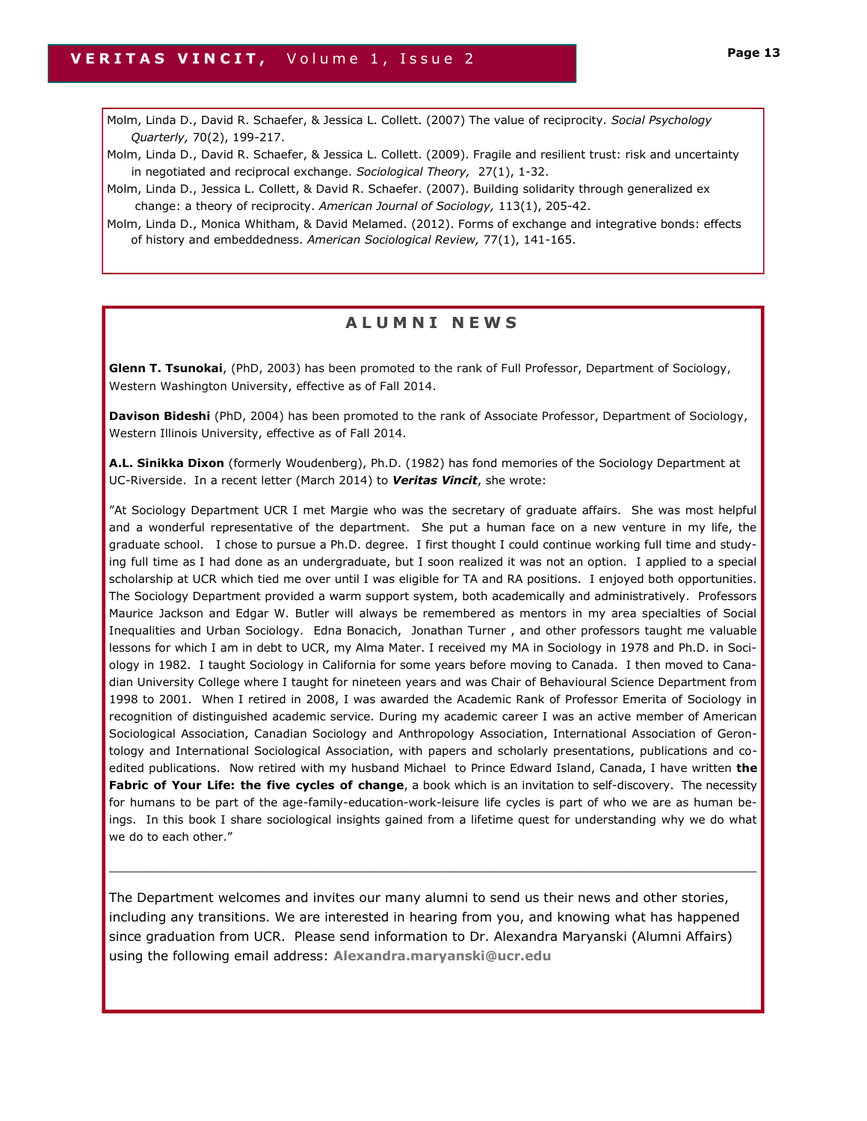Molm, Linda D., David R. Schaefer, & Jessica L. Collett. (2007) The value of reciprocity. *Social Psychology Quarterly,* 70(2), 199-217.

Molm, Linda D., David R. Schaefer, & Jessica L. Collett. (2009). Fragile and resilient trust: risk and uncertainty in negotiated and reciprocal exchange. *Sociological Theory,* 27(1), 1-32.

Molm, Linda D., Jessica L. Collett, & David R. Schaefer. (2007). Building solidarity through generalized ex change: a theory of reciprocity. *American Journal of Sociology,* 113(1), 205-42.

Molm, Linda D., Monica Whitham, & David Melamed. (2012). Forms of exchange and integrative bonds: effects of history and embeddedness. *American Sociological Review,* 77(1), 141-165.

## **A L U M N I N E W S**

**Glenn T. Tsunokai**, (PhD, 2003) has been promoted to the rank of Full Professor, Department of Sociology, Western Washington University, effective as of Fall 2014.

**Davison Bideshi** (PhD, 2004) has been promoted to the rank of Associate Professor, Department of Sociology, Western Illinois University, effective as of Fall 2014.

**A.L. Sinikka Dixon** (formerly Woudenberg), Ph.D. (1982) has fond memories of the Sociology Department at UC-Riverside. In a recent letter (March 2014) to *Veritas Vincit*, she wrote:

"At Sociology Department UCR I met Margie who was the secretary of graduate affairs. She was most helpful and a wonderful representative of the department. She put a human face on a new venture in my life, the graduate school. I chose to pursue a Ph.D. degree. I first thought I could continue working full time and studying full time as I had done as an undergraduate, but I soon realized it was not an option. I applied to a special scholarship at UCR which tied me over until I was eligible for TA and RA positions. I enjoyed both opportunities. The Sociology Department provided a warm support system, both academically and administratively. Professors Maurice Jackson and Edgar W. Butler will always be remembered as mentors in my area specialties of Social Inequalities and Urban Sociology. Edna Bonacich, Jonathan Turner , and other professors taught me valuable lessons for which I am in debt to UCR, my Alma Mater. I received my MA in Sociology in 1978 and Ph.D. in Sociology in 1982. I taught Sociology in California for some years before moving to Canada. I then moved to Canadian University College where I taught for nineteen years and was Chair of Behavioural Science Department from 1998 to 2001. When I retired in 2008, I was awarded the Academic Rank of Professor Emerita of Sociology in recognition of distinguished academic service. During my academic career I was an active member of American Sociological Association, Canadian Sociology and Anthropology Association, International Association of Gerontology and International Sociological Association, with papers and scholarly presentations, publications and coedited publications. Now retired with my husband Michael to Prince Edward Island, Canada, I have written **the Fabric of Your Life: the five cycles of change**, a book which is an invitation to self-discovery. The necessity for humans to be part of the age-family-education-work-leisure life cycles is part of who we are as human beings. In this book I share sociological insights gained from a lifetime quest for understanding why we do what we do to each other."

The Department welcomes and invites our many alumni to send us their news and other stories, including any transitions. We are interested in hearing from you, and knowing what has happened since graduation from UCR. Please send information to Dr. Alexandra Maryanski (Alumni Affairs) using the following email address: **Alexandra.maryanski@ucr.edu**

 $\_$  ,  $\_$  ,  $\_$  ,  $\_$  ,  $\_$  ,  $\_$  ,  $\_$  ,  $\_$  ,  $\_$  ,  $\_$  ,  $\_$  ,  $\_$  ,  $\_$  ,  $\_$  ,  $\_$  ,  $\_$  ,  $\_$  ,  $\_$  ,  $\_$  ,  $\_$  ,  $\_$  ,  $\_$  ,  $\_$  ,  $\_$  ,  $\_$  ,  $\_$  ,  $\_$  ,  $\_$  ,  $\_$  ,  $\_$  ,  $\_$  ,  $\_$  ,  $\_$  ,  $\_$  ,  $\_$  ,  $\_$  ,  $\_$  ,